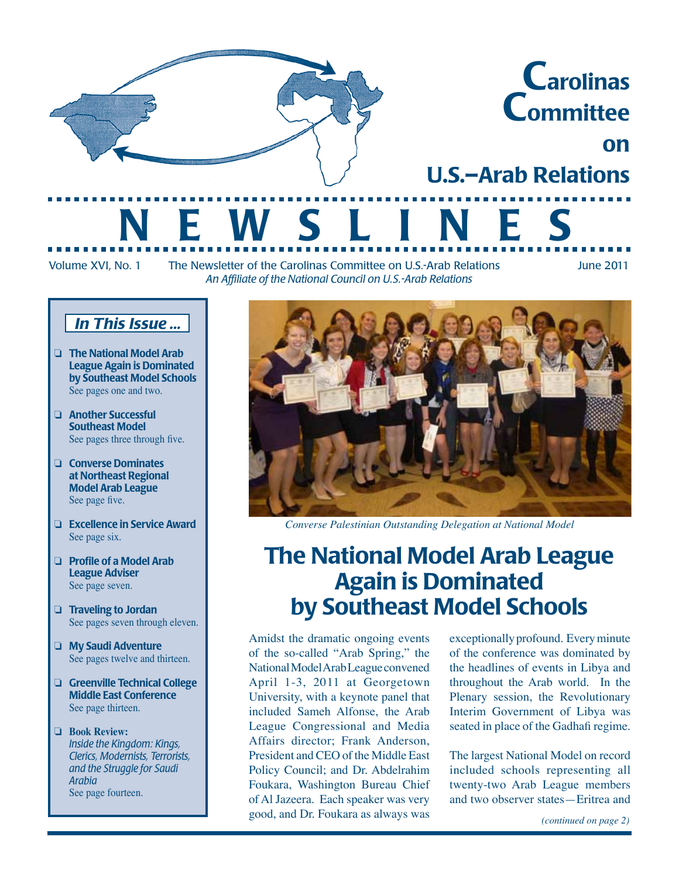

Volume XVI, No. 1 The Newsletter of the Carolinas Committee on U.S.-Arab Relations June 2011 *An Affiliate of the National Council on U.S.-Arab Relations*

on

### *In This Issue ...*

- ❏ The National Model Arab League Again is Dominated by Southeast Model Schools See pages one and two.
- ❏ Another Successful Southeast Model See pages three through five.
- ❏ Converse Dominates at Northeast Regional Model Arab League See page five.
- ❏ Excellence in Service Award See page six.
- ❏ Profile of a Model Arab League Adviser See page seven.
- □ Traveling to Jordan See pages seven through eleven.
- □ My Saudi Adventure See pages twelve and thirteen.
- □ Greenville Technical College Middle East Conference See page thirteen.
- ❏ **Book Review:** *Inside the Kingdom: Kings, Clerics, Modernists, Terrorists, and the Struggle for Saudi Arabia* See page fourteen.



*Converse Palestinian Outstanding Delegation at National Model*

# The National Model Arab League Again is Dominated by Southeast Model Schools

Amidst the dramatic ongoing events of the so-called "Arab Spring," the National Model Arab League convened April 1-3, 2011 at Georgetown University, with a keynote panel that included Sameh Alfonse, the Arab League Congressional and Media Affairs director; Frank Anderson, President and CEO of the Middle East Policy Council; and Dr. Abdelrahim Foukara, Washington Bureau Chief of Al Jazeera. Each speaker was very good, and Dr. Foukara as always was

exceptionally profound. Every minute of the conference was dominated by the headlines of events in Libya and throughout the Arab world. In the Plenary session, the Revolutionary Interim Government of Libya was seated in place of the Gadhafi regime.

The largest National Model on record included schools representing all twenty-two Arab League members and two observer states—Eritrea and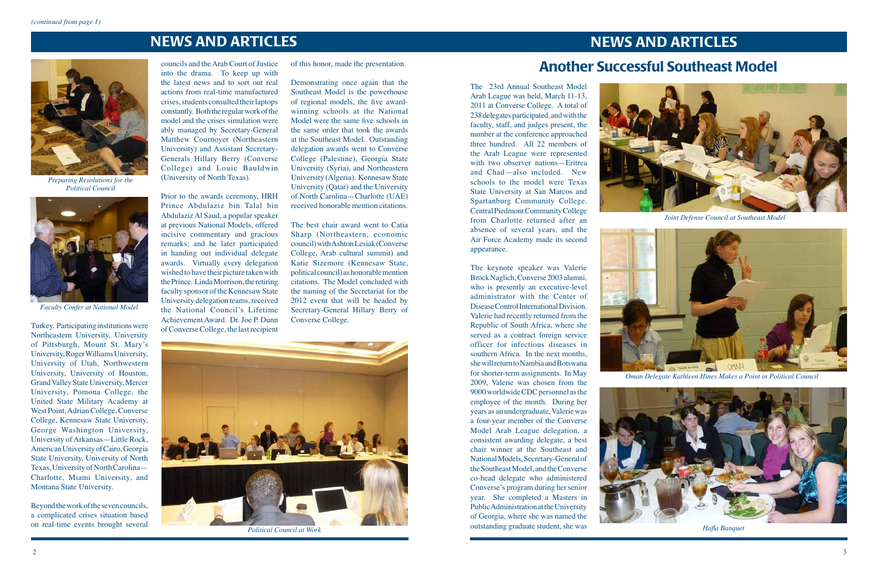### NEWS AND ARTICLES NEWS AND ARTICLES

of this honor, made the presentation.

The best chair award went to Catia Sharp (Northeastern, economic council) with Ashton Lesiak (Converse College, Arab cultural summit) and Katie Sizemore (Kennesaw State, political council) as honorable mention citations. The Model concluded with the naming of the Secretariat for the 2012 event that will be headed by Secretary-General Hillary Berry of<br>Converse College.

Demonstrating once again that the Southeast Model is the powerhouse of regional models, the five awardwinning schools at the National Model were the same five schools in the same order that took the awards at the Southeast Model. Outstanding delegation awards went to Converse College (Palestine), Georgia State University (Syria), and Northeastern University (Algeria). Kennesaw State University (Qatar) and the University of North Carolina—Charlotte (UAE) received honorable mention citations.

Turkey. Participating institutions were Northeastern University, University of Pittsburgh, Mount St. Mary's University, Roger Williams University, University of Utah, Northwestern University, University of Houston, Grand Valley State University, Mercer University, Pomona College, the United State Military Academy at West Point, Adrian College, Converse College, Kennesaw State University, George Washington University, University of Arkansas—Little Rock, American University of Cairo, Georgia State University, University of North Texas, University of North Carolina— Charlotte, Miami University, and Montana State University.

Beyond the work of the seven councils, a complicated crises situation based on real-time events brought several

councils and the Arab Court of Justice into the drama. To keep up with the latest news and to sort out real actions from real-time manufactured crises, students consulted their laptops constantly. Both the regular work of the model and the crises simulation were ably managed by Secretary-General Matthew Cournoyer (Northeastern University) and Assistant Secretary-Generals Hillary Berry (Converse College) and Louie Bauldwin (University of North Texas).

Prior to the awards ceremony, HRH Prince Abdulaziz bin Talal bin Abdulaziz Al Saud, a popular speaker at previous National Models, offered incisive commentary and gracious remarks; and he later participated in handing out individual delegate awards. Virtually every delegation wished to have their picture taken with the Prince. Linda Morrison, the retiring faculty sponsor of the Kennesaw State University delegation teams, received the National Council's Lifetime Achievement Award. Dr. Joe P. Dunn of Converse College, the last recipient



*Political Council at Work*

*Faculty Confer at National Model*



*Preparing Resolutions for the Political Council*



The 23rd Annual Southeast Model Arab League was held, March 11-13, 2011 at Converse College. A total of 238 delegates participated, and with the faculty, staff, and judges present, the number at the conference approached three hundred. All 22 members of the Arab League were represented with two observer nations—Eritrea and Chad—also included. New schools to the model were Texas State University at San Marcos and Spartanburg Community College. Central Piedmont Community College from Charlotte returned after an absence of several years, and the Air Force Academy made its second appearance.

The keynote speaker was Valerie Brock Naglich, Converse 2003 alumni, who is presently an executive-level administrator with the Center of Disease Control International Division. Valerie had recently returned from the Republic of South Africa, where she served as a contract foreign service officer for infectious diseases in southern Africa. In the next months, she will return to Nambia and Botswana for shorter-term assignments. In May 2009, Valerie was chosen from the 9000 worldwide CDC personnel as the employee of the month. During her years as an undergraduate, Valerie was a four-year member of the Converse Model Arab League delegation, a consistent awarding delegate, a best chair winner at the Southeast and National Models, Secretary-General of the Southeast Model, and the Converse co-head delegate who administered Converse's program during her senior year. She completed a Masters in Public Administration at the University of Georgia, where she was named the outstanding graduate student, she was







# Another Successful Southeast Model

*Joint Defense Council at Southeast Model*



*Oman Delegate Kathleen Hines Makes a Point in Political Council*



*Hafla Banquet*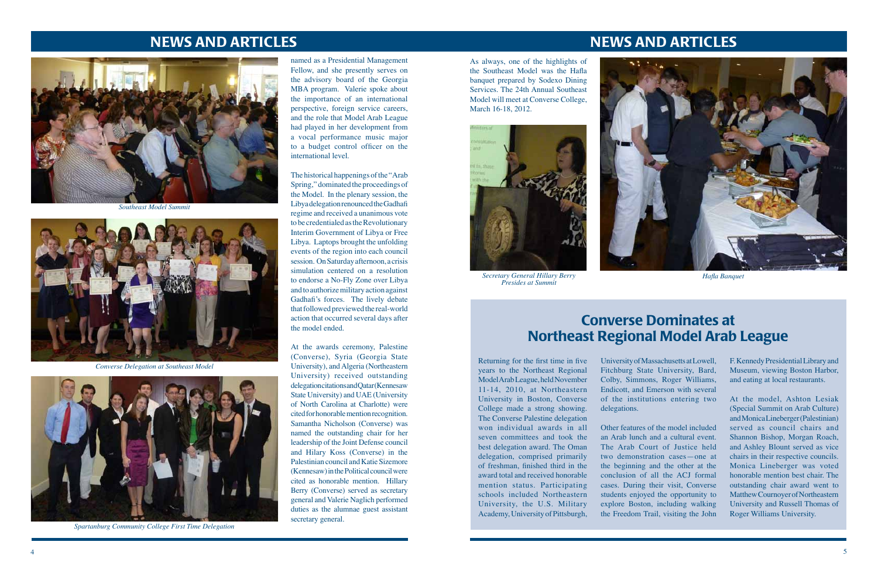### NEWS AND ARTICLES

### NEWS AND ARTICLES





*Southeast Model Summit*



*Spartanburg Community College First Time Delegation*



*Converse Delegation at Southeast Model*

named as a Presidential Management Fellow, and she presently serves on the advisory board of the Georgia MBA program. Valerie spoke about the importance of an international perspective, foreign service careers, and the role that Model Arab League had played in her development from a vocal performance music major to a budget control officer on the international level.

The historical happenings of the "Arab Spring," dominated the proceedings of the Model. In the plenary session, the Libya delegation renounced the Gadhafi regime and received a unanimous vote to be credentialed as the Revolutionary Interim Government of Libya or Free Libya. Laptops brought the unfolding events of the region into each council session. On Saturday afternoon, a crisis simulation centered on a resolution to endorse a No-Fly Zone over Libya and to authorize military action against Gadhafi's forces. The lively debate that followed previewed the real-world action that occurred several days after the model ended.

At the awards ceremony, Palestine (Converse), Syria (Georgia State University), and Algeria (Northeastern University) received outstanding delegation citations and Qatar (Kennesaw State University) and UAE (University of North Carolina at Charlotte) were cited for honorable mention recognition. Samantha Nicholson (Converse) was named the outstanding chair for her leadership of the Joint Defense council and Hilary Koss (Converse) in the Palestinian council and Katie Sizemore (Kennesaw) in the Political council were cited as honorable mention. Hillary Berry (Converse) served as secretary general and Valerie Naglich performed duties as the alumnae guest assistant secretary general.

As always, one of the highlights of the Southeast Model was the Hafla banquet prepared by Sodexo Dining Services. The 24th Annual Southeast Model will meet at Converse College, March 16-18, 2012.





Returning for the first time in five years to the Northeast Regional Model Arab League, held November 11-14, 2010, at Northeastern University in Boston, Converse College made a strong showing. The Converse Palestine delegation won individual awards in all seven committees and took the best delegation award. The Oman delegation, comprised primarily of freshman, finished third in the award total and received honorable mention status. Participating schools included Northeastern University, the U.S. Military Academy, University of Pittsburgh,

## Converse Dominates at Northeast Regional Model Arab League

University of Massachusetts at Lowell, Fitchburg State University, Bard, Colby, Simmons, Roger Williams, Endicott, and Emerson with several of the institutions entering two delegations.

Other features of the model included an Arab lunch and a cultural event. The Arab Court of Justice held two demonstration cases—one at the beginning and the other at the conclusion of all the ACJ formal cases. During their visit, Converse students enjoyed the opportunity to explore Boston, including walking the Freedom Trail, visiting the John

F. Kennedy Presidential Library and Museum, viewing Boston Harbor, and eating at local restaurants.

At the model, Ashton Lesiak (Special Summit on Arab Culture) and Monica Lineberger (Palestinian) served as council chairs and Shannon Bishop, Morgan Roach, and Ashley Blount served as vice chairs in their respective councils. Monica Lineberger was voted honorable mention best chair. The outstanding chair award went to Matthew Cournoyer of Northeastern University and Russell Thomas of Roger Williams University.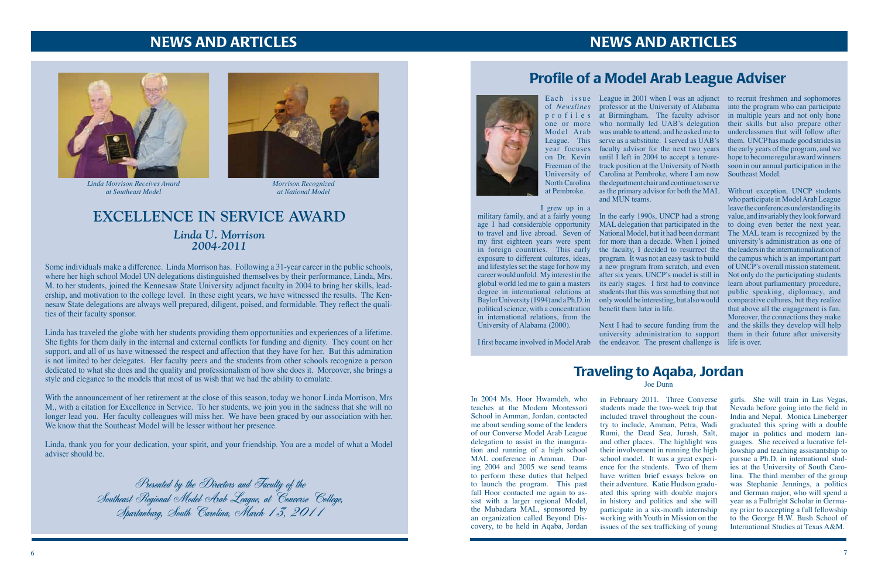### NEWS AND ARTICLES NEWS AND ARTICLES

### **EXCELLENCE IN SERVICE AWARD** *Linda U. Morrison 2004-2011*



*Morrison Recognized at National Model*

Some individuals make a difference. Linda Morrison has. Following a 31-year career in the public schools, where her high school Model UN delegations distinguished themselves by their performance, Linda, Mrs. M. to her students, joined the Kennesaw State University adjunct faculty in 2004 to bring her skills, leadership, and motivation to the college level. In these eight years, we have witnessed the results. The Kennesaw State delegations are always well prepared, diligent, poised, and formidable. They reflect the qualities of their faculty sponsor.

Linda has traveled the globe with her students providing them opportunities and experiences of a lifetime. She fights for them daily in the internal and external conflicts for funding and dignity. They count on her support, and all of us have witnessed the respect and affection that they have for her. But this admiration is not limited to her delegates. Her faculty peers and the students from other schools recognize a person dedicated to what she does and the quality and professionalism of how she does it. Moreover, she brings a style and elegance to the models that most of us wish that we had the ability to emulate.

With the announcement of her retirement at the close of this season, today we honor Linda Morrison, Mrs M., with a citation for Excellence in Service. To her students, we join you in the sadness that she will no longer lead you. Her faculty colleagues will miss her. We have been graced by our association with her. We know that the Southeast Model will be lesser without her presence.

Each issue League in 2001 when I was an adjunct to recruit freshmen and sophomores of *Newslines*  professor at the University of Alabama into the program who can participate p r o f i l e s at Birmingham. The faculty advisor in multiple years and not only hone one or more who normally led UAB's delegation their skills but also prepare other Model Arab was unable to attend, and he asked me to underclassmen that will follow after League. This serve as a substitute. I served as UAB's them. UNCP has made good strides in year focuses faculty advisor for the next two years the early years of the program, and we on Dr. Kevin until I left in 2004 to accept a tenure-hope to become regular award winners Freeman of the track position at the University of North soon in our annual participation in the University of Carolina at Pembroke, where I am now North Carolina the department chair and continue to serve as the primary advisor for both the MAL Without exception, UNCP students and MUN teams.

Linda, thank you for your dedication, your spirit, and your friendship. You are a model of what a Model adviser should be.

In the early 1990s, UNCP had a strong MAL delegation that participated in the National Model, but it had been dormant for more than a decade. When I joined the faculty, I decided to resurrect the its early stages. I first had to convince students that this was something that not

Presented by the Directors and Faculty of the Southeast Regional Model Arab League, at Converse College, Spartanburg, South Carolina, March 13, 2011



*Linda Morrison Receives Award at Southeast Model*

at Pembroke.

I grew up in a military family, and at a fairly young age I had considerable opportunity to travel and live abroad. Seven of my first eighteen years were spent in foreign countries. This early exposure to different cultures, ideas, program. It was not an easy task to build global world led me to gain a masters degree in international relations at political science, with a concentration benefit them later in life. in international relations, from the University of Alabama (2000).

### Profile of a Model Arab League Adviser



and lifestyles set the stage for how my a new program from scratch, and even of UNCP's overall mission statement. career would unfold. My interest in the after six years, UNCP's model is still in Not only do the participating students Baylor University (1994) and a Ph.D. in only would be interesting, but also would comparative cultures, but they realize Next I had to secure funding from the and the skills they develop will help university administration to support them in their future after university who participate in Model Arab League leave the conferences understanding its value, and invariably they look forward to doing even better the next year. The MAL team is recognized by the university's administration as one of the leaders in the internationalization of the campus which is an important part learn about parliamentary procedure, public speaking, diplomacy, and that above all the engagement is fun. Moreover, the connections they make

I first became involved in Model Arab the endeavor. The present challenge is life is over.

Southeast Model.

In 2004 Ms. Hoor Hwamdeh, who teaches at the Modern Montessori School in Amman, Jordan, contacted me about sending some of the leaders of our Converse Model Arab League delegation to assist in the inauguration and running of a high school MAL conference in Amman. During 2004 and 2005 we send teams to perform these duties that helped to launch the program. This past fall Hoor contacted me again to assist with a larger regional Model, the Mubadara MAL, sponsored by an organization called Beyond Discovery, to be held in Aqaba, Jordan in February 2011. Three Converse students made the two-week trip that included travel throughout the country to include, Amman, Petra, Wadi Rumi, the Dead Sea, Jurash, Salt, and other places. The highlight was their involvement in running the high school model. It was a great experience for the students. Two of them have written brief essays below on their adventure. Katie Hudson graduated this spring with double majors in history and politics and she will participate in a six-month internship working with Youth in Mission on the issues of the sex trafficking of young

girls. She will train in Las Vegas, Nevada before going into the field in India and Nepal. Monica Lineberger graduated this spring with a double major in politics and modern languages. She received a lucrative fellowship and teaching assistantship to pursue a Ph.D. in international studies at the University of South Carolina. The third member of the group was Stephanie Jennings, a politics and German major, who will spend a year as a Fulbright Scholar in Germany prior to accepting a full fellowship to the George H.W. Bush School of International Studies at Texas A&M.

## Traveling to Aqaba, Jordan

Joe Dunn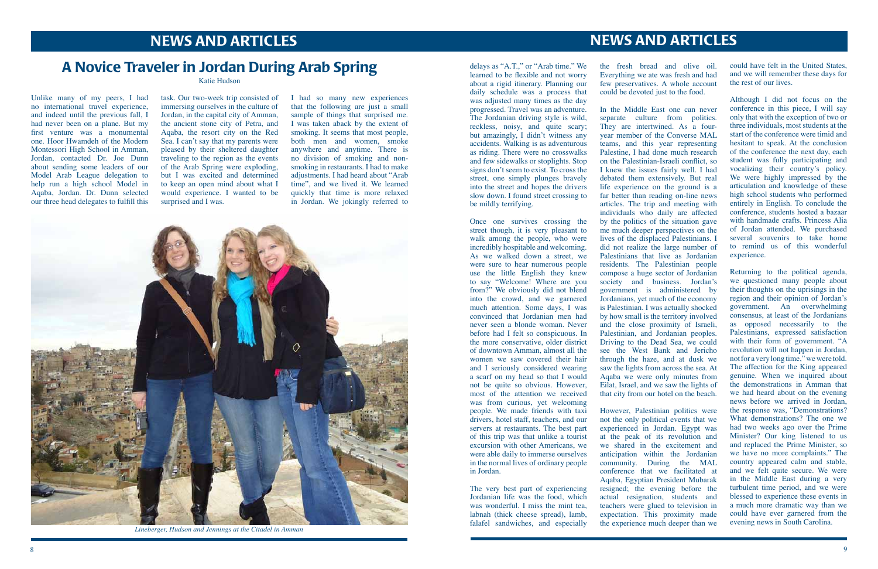## NEWS AND ARTICLES NEWS AND ARTICLES

task. Our two-week trip consisted of immersing ourselves in the culture of Jordan, in the capital city of Amman, the ancient stone city of Petra, and Aqaba, the resort city on the Red Sea. I can't say that my parents were pleased by their sheltered daughter traveling to the region as the events of the Arab Spring were exploding, but I was excited and determined to keep an open mind about what I would experience. I wanted to be surprised and I was.

Unlike many of my peers, I had no international travel experience, and indeed until the previous fall, I had never been on a plane. But my first venture was a monumental one. Hoor Hwamdeh of the Modern Montessori High School in Amman, Jordan, contacted Dr. Joe Dunn about sending some leaders of our Model Arab League delegation to help run a high school Model in Aqaba, Jordan. Dr. Dunn selected our three head delegates to fulfill this

I had so many new experiences that the following are just a small sample of things that surprised me. I was taken aback by the extent of smoking. It seems that most people, both men and women, smoke anywhere and anytime. There is no division of smoking and nonsmoking in restaurants. I had to make adjustments. I had heard about "Arab time", and we lived it. We learned quickly that time is more relaxed in Jordan. We jokingly referred to

### A Novice Traveler in Jordan During Arab Spring

Katie Hudson



*Lineberger, Hudson and Jennings at the Citadel in Amman*

delays as "A.T.," or "Arab time." We learned to be flexible and not worry about a rigid itinerary. Planning our daily schedule was a process that was adjusted many times as the day progressed. Travel was an adventure. The Jordanian driving style is wild, reckless, noisy, and quite scary; but amazingly, I didn't witness any accidents. Walking is as adventurous as riding. There were no crosswalks and few sidewalks or stoplights. Stop signs don't seem to exist. To cross the street, one simply plunges bravely into the street and hopes the drivers slow down. I found street crossing to be mildly terrifying.

Once one survives crossing the street though, it is very pleasant to walk among the people, who were incredibly hospitable and welcoming. As we walked down a street, we were sure to hear numerous people use the little English they knew to say "Welcome! Where are you from?" We obviously did not blend into the crowd, and we garnered much attention. Some days, I was convinced that Jordanian men had never seen a blonde woman. Never before had I felt so conspicuous. In the more conservative, older district of downtown Amman, almost all the women we saw covered their hair and I seriously considered wearing a scarf on my head so that I would not be quite so obvious. However, most of the attention we received was from curious, yet welcoming people. We made friends with taxi drivers, hotel staff, teachers, and our servers at restaurants. The best part of this trip was that unlike a tourist excursion with other Americans, we were able daily to immerse ourselves in the normal lives of ordinary people in Jordan.

The very best part of experiencing Jordanian life was the food, which was wonderful. I miss the mint tea, labnah (thick cheese spread), lamb, falafel sandwiches, and especially

the fresh bread and olive oil. Everything we ate was fresh and had few preservatives. A whole account could be devoted just to the food.

In the Middle East one can never separate culture from politics. They are intertwined. As a fouryear member of the Converse MAL teams, and this year representing Palestine, I had done much research on the Palestinian-Israeli conflict, so I knew the issues fairly well. I had debated them extensively. But real life experience on the ground is a far better than reading on-line news articles. The trip and meeting with individuals who daily are affected by the politics of the situation gave me much deeper perspectives on the lives of the displaced Palestinians. I did not realize the large number of Palestinians that live as Jordanian residents. The Palestinian people compose a huge sector of Jordanian society and business. Jordan's government is administered by Jordanians, yet much of the economy is Palestinian. I was actually shocked by how small is the territory involved and the close proximity of Israeli, Palestinian, and Jordanian peoples. Driving to the Dead Sea, we could see the West Bank and Jericho through the haze, and at dusk we saw the lights from across the sea. At Aqaba we were only minutes from Eilat, Israel, and we saw the lights of that city from our hotel on the beach.

However, Palestinian politics were not the only political events that we experienced in Jordan. Egypt was at the peak of its revolution and we shared in the excitement and anticipation within the Jordanian community. During the MAL conference that we facilitated at Aqaba, Egyptian President Mubarak resigned; the evening before the actual resignation, students and teachers were glued to television in expectation. This proximity made the experience much deeper than we could have felt in the United States, and we will remember these days for the rest of our lives.

Although I did not focus on the conference in this piece, I will say only that with the exception of two or three individuals, most students at the start of the conference were timid and hesitant to speak. At the conclusion of the conference the next day, each student was fully participating and vocalizing their country's policy. We were highly impressed by the articulation and knowledge of these high school students who performed entirely in English. To conclude the conference, students hosted a bazaar with handmade crafts. Princess Alia of Jordan attended. We purchased several souvenirs to take home to remind us of this wonderful experience.

Returning to the political agenda, we questioned many people about their thoughts on the uprisings in the region and their opinion of Jordan's government. An overwhelming consensus, at least of the Jordanians as opposed necessarily to the Palestinians, expressed satisfaction with their form of government. "A revolution will not happen in Jordan, not for a very long time," we were told. The affection for the King appeared genuine. When we inquired about the demonstrations in Amman that we had heard about on the evening news before we arrived in Jordan, the response was, "Demonstrations? What demonstrations? The one we had two weeks ago over the Prime Minister? Our king listened to us and replaced the Prime Minister, so we have no more complaints." The country appeared calm and stable, and we felt quite secure. We were in the Middle East during a very turbulent time period, and we were blessed to experience these events in a much more dramatic way than we could have ever garnered from the evening news in South Carolina.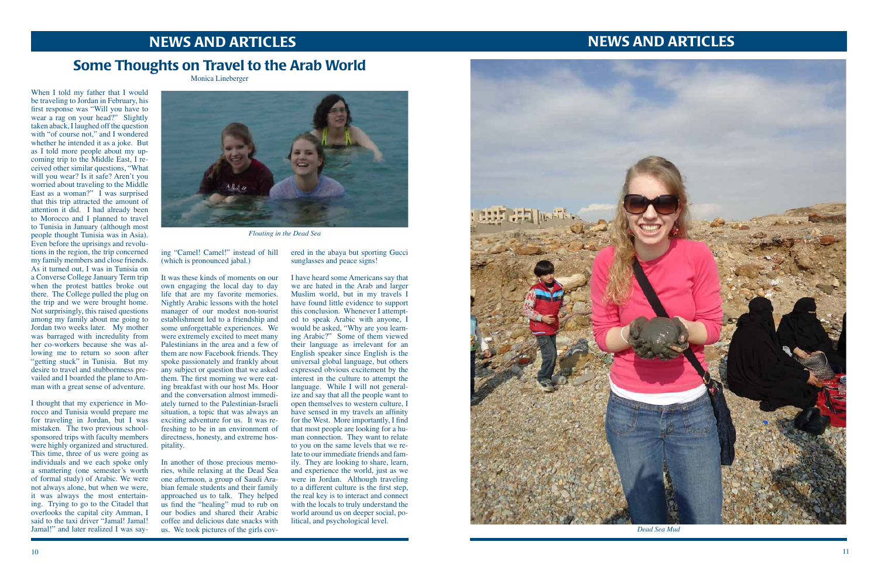# NEWS AND ARTICLES

*Dead Sea Mud*

### **NEWS AND ARTICLES**

## Some Thoughts on Travel to the Arab World

Monica Lineberger

When I told my father that I would be traveling to Jordan in February, his first response was "Will you have to wear a rag on your head?" Slightly taken aback, I laughed off the question with "of course not," and I wondered whether he intended it as a joke. But as I told more people about my up coming trip to the Middle East, I re ceived other similar questions, "What will you wear? Is it safe? Aren't you worried about traveling to the Middle East as a woman?" I was surprised that this trip attracted the amount of attention it did. I had already been to Morocco and I planned to travel to Tunisia in January (although most people thought Tunisia was in Asia). Even before the uprisings and revolu tions in the region, the trip concerned my family members and close friends. As it turned out, I was in Tunisia on a Converse College January Term trip when the protest battles broke out there. The College pulled the plug on the trip and we were brought home. Not surprisingly, this raised questions among my family about me going to Jordan two weeks later. My mother was barraged with incredulity from her co-workers because she was al lowing me to return so soon after "getting stuck" in Tunisia. But my desire to travel and stubbornness pre vailed and I boarded the plane to Am man with a great sense of adventure.

ered in the abaya but sporting Gucci sunglasses and peace signs!

I thought that my experience in Mo rocco and Tunisia would prepare me for traveling in Jordan, but I was mistaken. The two previous schoolsponsored trips with faculty members were highly organized and structured. This time, three of us were going as individuals and we each spoke only a smattering (one semester's worth of formal study) of Arabic. We were not always alone, but when we were, it was always the most entertain ing. Trying to go to the Citadel that overlooks the capital city Amman, I said to the taxi driver "Jamal! Jamal! Jamal!" and later realized I was say -

ing "Camel! Camel!" instead of hill (which is pronounced jabal.)

It was these kinds of moments on our own engaging the local day to day life that are my favorite memories. Nightly Arabic lessons with the hotel manager of our modest non-tourist establishment led to a friendship and some unforgettable experiences. We were extremely excited to meet many Palestinians in the area and a few of them are now Facebook friends. They spoke passionately and frankly about any subject or question that we asked them. The first morning we were eat ing breakfast with our host Ms. Hoor and the conversation almost immedi ately turned to the Palestinian-Israeli situation, a topic that was always an exciting adventure for us. It was refreshing to be in an environment of directness, honesty, and extreme hos pitality.

In another of those precious memo ries, while relaxing at the Dead Sea one afternoon, a group of Saudi Ara bian female students and their family approached us to talk. They helped us find the "healing" mud to rub on our bodies and shared their Arabic coffee and delicious date snacks with us. We took pictures of the girls cov -

I have heard some Americans say that we are hated in the Arab and larger Muslim world, but in my travels I have found little evidence to support this conclusion. Whenever I attempt ed to speak Arabic with anyone, I would be asked, "Why are you learn ing Arabic?" Some of them viewed their language as irrelevant for an English speaker since English is the universal global language, but others expressed obvious excitement by the interest in the culture to attempt the language. While I will not general ize and say that all the people want to open themselves to western culture, I have sensed in my travels an affinity for the West. More importantly, I find that most people are looking for a hu man connection. They want to relate to you on the same levels that we re late to our immediate friends and fam ily. They are looking to share, learn, and experience the world, just as we were in Jordan. Although traveling to a different culture is the first step, the real key is to interact and connect with the locals to truly understand the world around us on deeper social, po litical, and psychological level.





*Floating in the Dead Sea*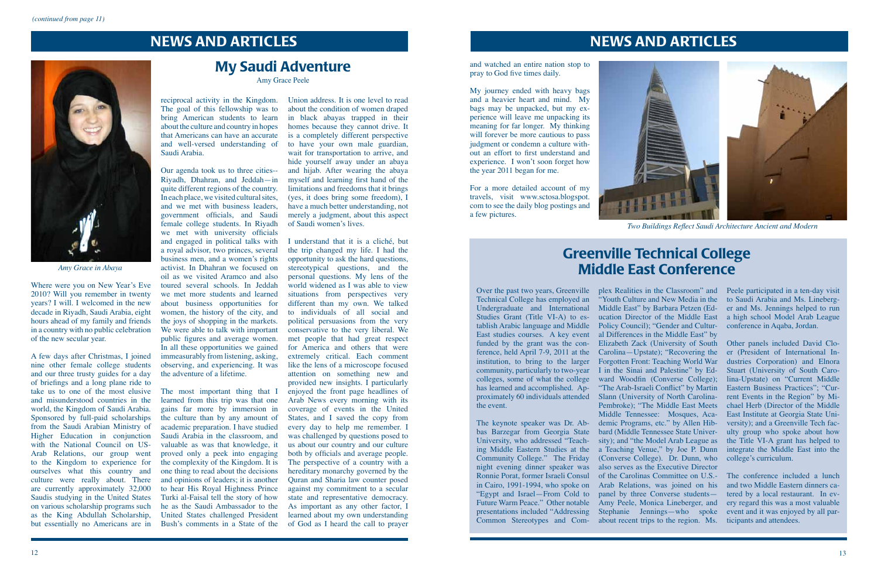

*Two Buildings Reflect Saudi Architecture Ancient and Modern*

### NEWS AND ARTICLES



### NEWS AND ARTICLES

### My Saudi Adventure

Amy Grace Peele

Where were you on New Year's Eve 2010? Will you remember in twenty years? I will. I welcomed in the new decade in Riyadh, Saudi Arabia, eight hours ahead of my family and friends in a country with no public celebration of the new secular year.

A few days after Christmas, I joined nine other female college students and our three trusty guides for a day of briefings and a long plane ride to take us to one of the most elusive and misunderstood countries in the world, the Kingdom of Saudi Arabia. Sponsored by full-paid scholarships from the Saudi Arabian Ministry of Higher Education in conjunction with the National Council on US-Arab Relations, our group went to the Kingdom to experience for ourselves what this country and culture were really about. There are currently approximately 32,000 Saudis studying in the United States on various scholarship programs such as the King Abdullah Scholarship, but essentially no Americans are in

reciprocal activity in the Kingdom. The goal of this fellowship was to bring American students to learn about the culture and country in hopes that Americans can have an accurate and well-versed understanding of Saudi Arabia.

Our agenda took us to three cities-- Riyadh, Dhahran, and Jeddah—in quite different regions of the country. In each place, we visited cultural sites, and we met with business leaders, government officials, and Saudi female college students. In Riyadh we met with university officials and engaged in political talks with a royal advisor, two princes, several business men, and a women's rights activist. In Dhahran we focused on oil as we visited Aramco and also toured several schools. In Jeddah we met more students and learned about business opportunities for women, the history of the city, and the joys of shopping in the markets. We were able to talk with important public figures and average women. In all these opportunities we gained immeasurably from listening, asking, observing, and experiencing. It was the adventure of a lifetime.

The most important thing that I learned from this trip was that one gains far more by immersion in the culture than by any amount of academic preparation. I have studied Saudi Arabia in the classroom, and valuable as was that knowledge, it proved only a peek into engaging the complexity of the Kingdom. It is one thing to read about the decisions and opinions of leaders; it is another to hear His Royal Highness Prince Turki al-Faisal tell the story of how he as the Saudi Ambassador to the United States challenged President Bush's comments in a State of the

Union address. It is one level to read about the condition of women draped in black abayas trapped in their homes because they cannot drive. It is a completely different perspective to have your own male guardian, wait for transportation to arrive, and hide yourself away under an abaya and hijab. After wearing the abaya myself and learning first hand of the limitations and freedoms that it brings (yes, it does bring some freedom), I have a much better understanding, not merely a judgment, about this aspect of Saudi women's lives.

I understand that it is a cliché, but the trip changed my life. I had the opportunity to ask the hard questions, stereotypical questions, and the personal questions. My lens of the world widened as I was able to view situations from perspectives very different than my own. We talked to individuals of all social and political persuasions from the very conservative to the very liberal. We met people that had great respect for America and others that were extremely critical. Each comment like the lens of a microscope focused attention on something new and provided new insights. I particularly enjoyed the front page headlines of Arab News every morning with its coverage of events in the United States, and I saved the copy from every day to help me remember. I was challenged by questions posed to us about our country and our culture both by officials and average people. The perspective of a country with a hereditary monarchy governed by the Quran and Sharia law counter posed against my commitment to a secular state and representative democracy. As important as any other factor, I learned about my own understanding of God as I heard the call to prayer

*Amy Grace in Abaya*

and watched an entire nation stop to pray to God five times daily.

My journey ended with heavy bags and a heavier heart and mind. My bags may be unpacked, but my experience will leave me unpacking its meaning for far longer. My thinking will forever be more cautious to pass judgment or condemn a culture without an effort to first understand and experience. I won't soon forget how the year 2011 began for me.

For a more detailed account of my travels, visit www.sctosa.blogspot. com to see the daily blog postings and a few pictures.

Technical College has employed an Undergraduate and International Studies Grant (Title VI-A) to establish Arabic language and Middle East studies courses. A key event funded by the grant was the concommunity, particularly to two-year colleges, some of what the college has learned and accomplished. Apthe event.

The keynote speaker was Dr. Abbas Barzegar from Georgia State University, who addressed "Teach-Ronnie Porat, former Israeli Consul "Egypt and Israel—From Cold to Future Warm Peace." Other notable presentations included "Addressing

## Greenville Technical College Middle East Conference

Over the past two years, Greenville plex Realities in the Classroom" and ference, held April 7-9, 2011 at the Carolina—Upstate); "Recovering the institution, to bring to the larger Forgotten Front: Teaching World War proximately 60 individuals attended Slann (University of North Carolinaing Middle Eastern Studies at the a Teaching Venue," by Joe P. Dunn Community College." The Friday (Converse College). Dr. Dunn, who night evening dinner speaker was also serves as the Executive Director in Cairo, 1991-1994, who spoke on Arab Relations, was joined on his Common Stereotypes and Com-about recent trips to the region. Ms. ticipants and attendees."Youth Culture and New Media in the to Saudi Arabia and Ms. Lineberg-Middle East" by Barbara Petzen (Education Director of the Middle East Policy Council); "Gender and Cultural Differences in the Middle East" by Elizabeth Zack (University of South I in the Sinai and Palestine" by Edward Woodfin (Converse College); "The Arab-Israeli Conflict" by Martin Pembroke); "The Middle East Meets Middle Tennessee: Mosques, Academic Programs, etc." by Allen Hibbard (Middle Tennessee State University); and "the Model Arab League as of the Carolinas Committee on U.S. panel by three Converse students— Amy Peele, Monica Lineberger, and Stephanie Jennings—who spoke event and it was enjoyed by all par-

Peele participated in a ten-day visit er and Ms. Jennings helped to run a high school Model Arab League conference in Aqaba, Jordan.

Other panels included David Cloer (President of International Industries Corporation) and Elnora Stuart (University of South Carolina-Upstate) on "Current Middle Eastern Business Practices"; "Current Events in the Region" by Michael Herb (Director of the Middle East Institute at Georgia State University); and a Greenville Tech faculty group who spoke about how the Title VI-A grant has helped to integrate the Middle East into the college's curriculum.

The conference included a lunch and two Middle Eastern dinners catered by a local restaurant. In every regard this was a most valuable